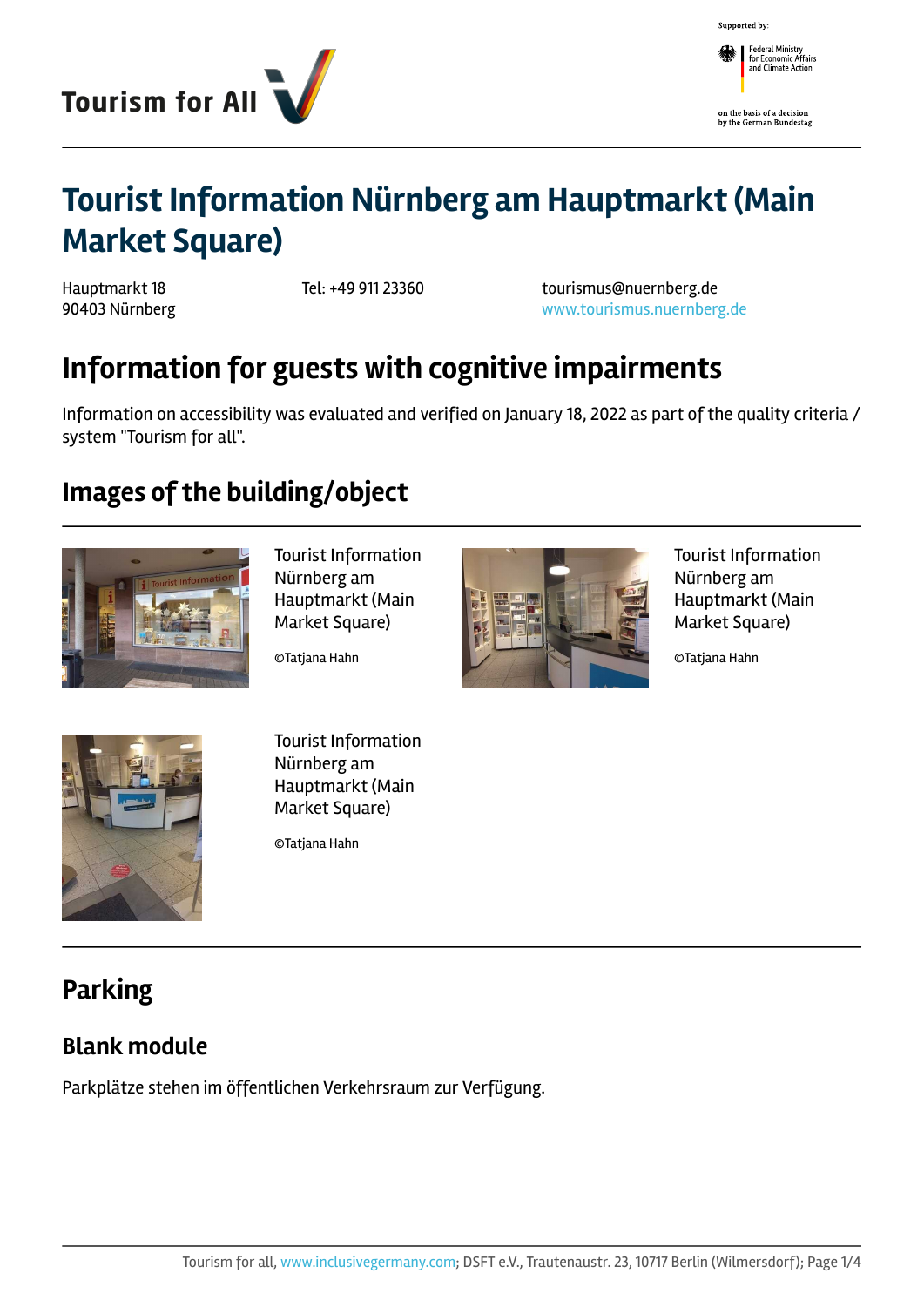

Supported by:

Federal Ministry<br>
for Economic Affairs<br>
and Climate Action

on the basis of a decision<br>by the German Bundestag

# **Tourist Information Nürnberg am Hauptmarkt (Main Market Square)**

Hauptmarkt 18 90403 Nürnberg

Tel: +49 911 23360 tourismus@nuernberg.de <www.tourismus.nuernberg.de>

# **Information for guests with cognitive impairments**

Information on accessibility was evaluated and verified on January 18, 2022 as part of the quality criteria / system "Tourism for all".

## **Images of the building/object**



Tourist Information Nürnberg am Hauptmarkt (Main Market Square)

©Tatjana Hahn



Tourist Information Nürnberg am Hauptmarkt (Main Market Square)

©Tatjana Hahn



Tourist Information Nürnberg am Hauptmarkt (Main Market Square)

©Tatjana Hahn

# **Parking**

#### **Blank module**

Parkplätze stehen im öffentlichen Verkehrsraum zur Verfügung.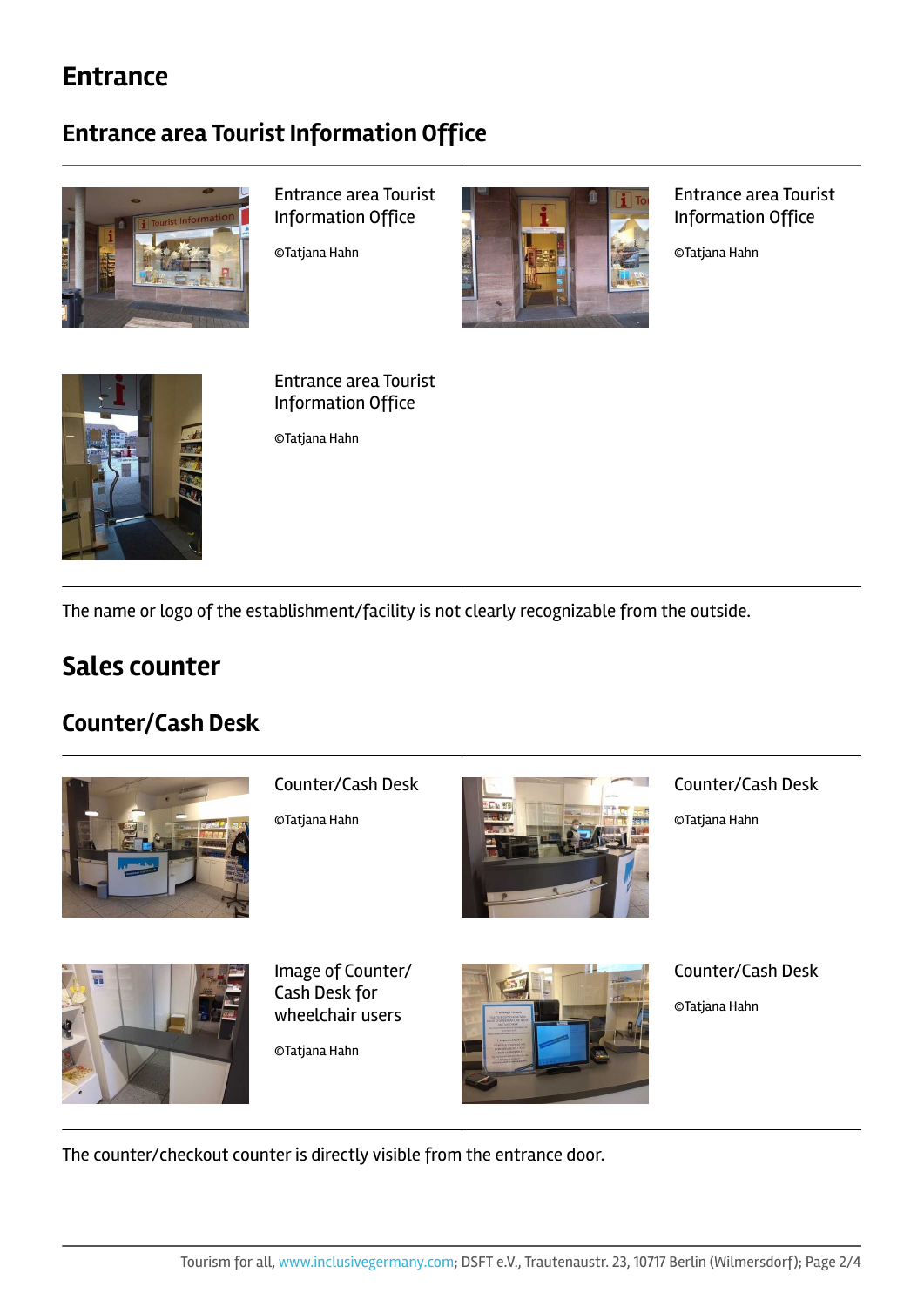### **Entrance**

#### **Entrance area Tourist Information Office**



Entrance area Tourist Information Office

©Tatjana Hahn



Entrance area Tourist Information Office

©Tatjana Hahn



Entrance area Tourist Information Office

©Tatjana Hahn

The name or logo of the establishment/facility is not clearly recognizable from the outside.

### **Sales counter**

#### **Counter/Cash Desk**



Counter/Cash Desk

©Tatjana Hahn



Counter/Cash Desk

©Tatjana Hahn



Image of Counter/ Cash Desk for wheelchair users

©Tatjana Hahn



Counter/Cash Desk

©Tatjana Hahn

The counter/checkout counter is directly visible from the entrance door.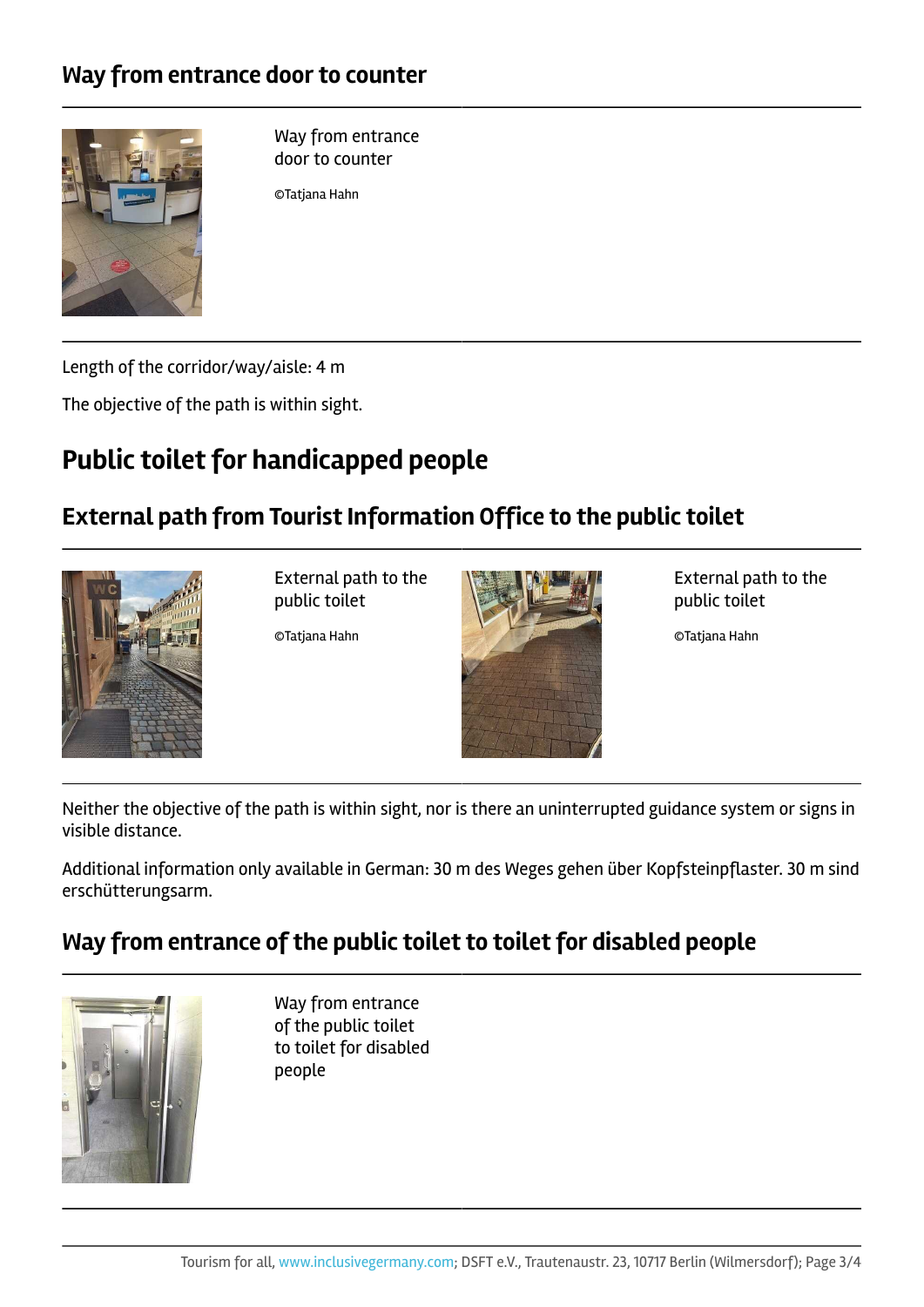#### **Way from entrance door to counter**



Way from entrance door to counter

©Tatjana Hahn

Length of the corridor/way/aisle: 4 m

The objective of the path is within sight.

# **Public toilet for handicapped people**

#### **External path from Tourist Information Office to the public toilet**



External path to the public toilet

©Tatjana Hahn



External path to the public toilet

©Tatjana Hahn

Neither the objective of the path is within sight, nor is there an uninterrupted guidance system or signs in visible distance.

Additional information only available in German: 30 m des Weges gehen über Kopfsteinpflaster. 30 m sind erschütterungsarm.

#### **Way from entrance of the public toilet to toilet for disabled people**



Way from entrance of the public toilet to toilet for disabled people